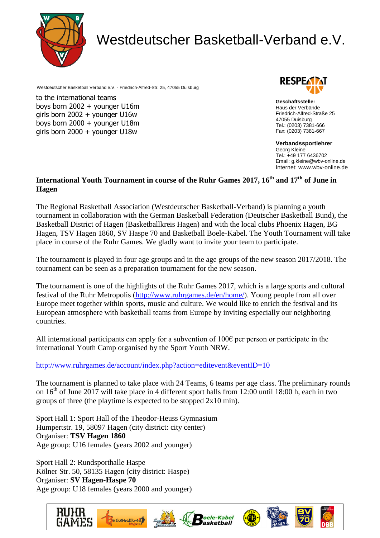

# Westdeutscher Basketball-Verband e.V.

Westdeutscher Basketball Verband e.V. · Friedrich-Alfred-Str. 25, 47055 Duisburg

to the international teams boys born 2002 + younger U16m girls born 2002 + younger U16w boys born 2000 + younger U18m girls born 2000 + younger U18w



**Geschäftsstelle:** Haus der Verbände Friedrich-Alfred-Straße 25 47055 Duisburg Tel.: (0203) 7381-666 Fax: (0203) 7381-667

**Verbandssportlehrer** Georg Kleine Tel.: +49 177 6436702 Email: g.kleine@wbv-online.de Internet: www.wbv-online.de

# **International Youth Tournament in course of the Ruhr Games 2017, 16th and 17th of June in Hagen**

The Regional Basketball Association (Westdeutscher Basketball-Verband) is planning a youth tournament in collaboration with the German Basketball Federation (Deutscher Basketball Bund), the Basketball District of Hagen (Basketballkreis Hagen) and with the local clubs Phoenix Hagen, BG Hagen, TSV Hagen 1860, SV Haspe 70 and Basketball Boele-Kabel. The Youth Tournament will take place in course of the Ruhr Games. We gladly want to invite your team to participate.

The tournament is played in four age groups and in the age groups of the new season 2017/2018. The tournament can be seen as a preparation tournament for the new season.

The tournament is one of the highlights of the Ruhr Games 2017, which is a large sports and cultural festival of the Ruhr Metropolis [\(http://www.ruhrgames.de/en/home/\)](http://www.ruhrgames.de/en/home/). Young people from all over Europe meet together within sports, music and culture. We would like to enrich the festival and its European atmosphere with basketball teams from Europe by inviting especially our neighboring countries.

All international participants can apply for a subvention of  $100\epsilon$  per person or participate in the international Youth Camp organised by the Sport Youth NRW.

## <http://www.ruhrgames.de/account/index.php?action=editevent&eventID=10>

The tournament is planned to take place with 24 Teams, 6 teams per age class. The preliminary rounds on  $16<sup>th</sup>$  of June 2017 will take place in 4 different sport halls from 12:00 until 18:00 h, each in two groups of three (the playtime is expected to be stopped 2x10 min).

Sport Hall 1: Sport Hall of the Theodor-Heuss Gymnasium Humpertstr. 19, 58097 Hagen (city district: city center) Organiser: **TSV Hagen 1860** Age group: U16 females (years 2002 and younger)

Sport Hall 2: Rundsporthalle Haspe Kölner Str. 50, 58135 Hagen (city district: Haspe) Organiser: **SV Hagen-Haspe 70** Age group: U18 females (years 2000 and younger)